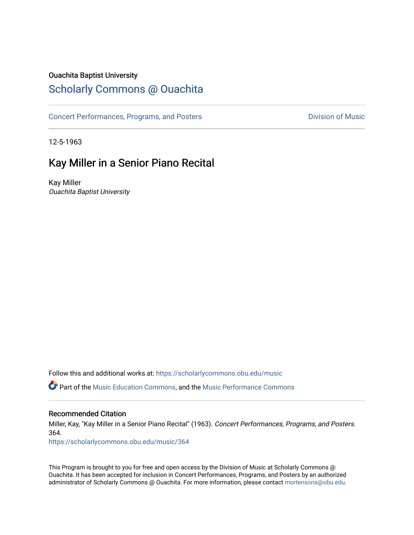### Ouachita Baptist University

### [Scholarly Commons @ Ouachita](https://scholarlycommons.obu.edu/)

[Concert Performances, Programs, and Posters](https://scholarlycommons.obu.edu/music) **Division of Music** Division of Music

12-5-1963

### Kay Miller in a Senior Piano Recital

Kay Miller Ouachita Baptist University

Follow this and additional works at: [https://scholarlycommons.obu.edu/music](https://scholarlycommons.obu.edu/music?utm_source=scholarlycommons.obu.edu%2Fmusic%2F364&utm_medium=PDF&utm_campaign=PDFCoverPages) 

Part of the [Music Education Commons,](http://network.bepress.com/hgg/discipline/1246?utm_source=scholarlycommons.obu.edu%2Fmusic%2F364&utm_medium=PDF&utm_campaign=PDFCoverPages) and the [Music Performance Commons](http://network.bepress.com/hgg/discipline/1128?utm_source=scholarlycommons.obu.edu%2Fmusic%2F364&utm_medium=PDF&utm_campaign=PDFCoverPages) 

#### Recommended Citation

Miller, Kay, "Kay Miller in a Senior Piano Recital" (1963). Concert Performances, Programs, and Posters. 364.

[https://scholarlycommons.obu.edu/music/364](https://scholarlycommons.obu.edu/music/364?utm_source=scholarlycommons.obu.edu%2Fmusic%2F364&utm_medium=PDF&utm_campaign=PDFCoverPages) 

This Program is brought to you for free and open access by the Division of Music at Scholarly Commons @ Ouachita. It has been accepted for inclusion in Concert Performances, Programs, and Posters by an authorized administrator of Scholarly Commons @ Ouachita. For more information, please contact [mortensona@obu.edu](mailto:mortensona@obu.edu).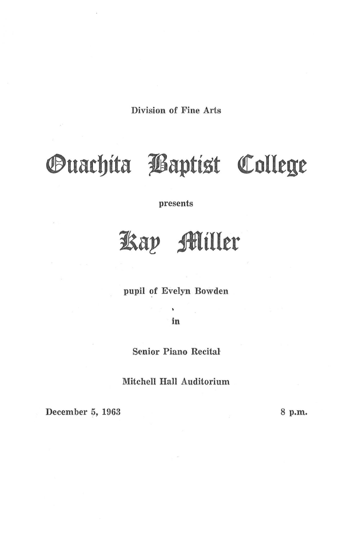Division of Fine Arts

# *<u>Ouachita Baptist College</u>*

presents

## **1Sap** ~iller

pupil of Evelyn Bowden

in

Senior Piano Recital

Mitchell Hall Auditorium

December 5, 1963 8 p.m.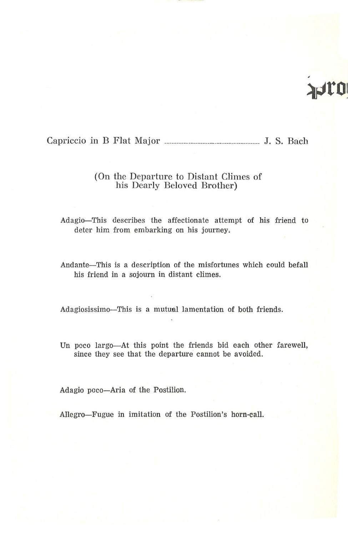## AULO

Capriccio in B Flat Major ------------------------------- J. S. Bach

#### (On the Departure to Distant Climes of his Dearly Beloved Brother)

Adagio-This describes the affectionate attempt of his friend to deter him from embarking on his journey.

Andante-This is a description of the misfortunes which could befall his friend in a sojourn in distant climes.

Adagiosissimo-This is a mutual lamentation of both friends.

Un poco largo-At this point the friends bid each other farewell, since they see that the departure cannot be avoided.

Adagio poco-Aria of the Postilion.

Allegro-Fugue in imitation of the Postilion's horn-call.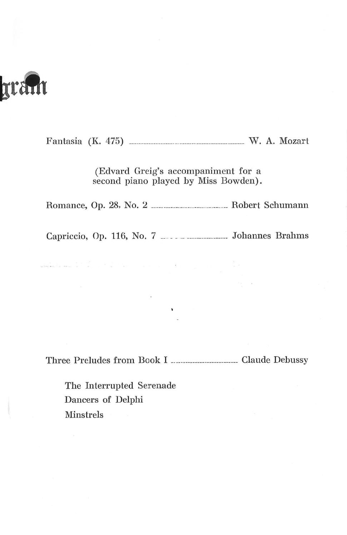# TTALIT

Fantasia (K. 4 75) ------------------------------------------------ W. A. Mozart

(Edvard Greig's accompaniment for a second piano played by Miss Bowden).

Romance, Op. 28, No. 2 ------------------------------- Robert Schumann

Capriccio, Op. 116, No. 7 \_\_\_\_\_\_\_\_\_\_\_\_\_\_\_\_\_\_\_\_\_\_ Johannes Brahms

 $\alpha$  ,  $\alpha$  ,  $\alpha$ 

 $\alpha$  .

Three Preludes from Book I ---------------------------- Claude Debussy

 $\mathbf{Y}$  and  $\mathbf{Y}$  are  $\mathbf{X}$ 

The Interrupted Serenade Dancers of Delphi Minstrels